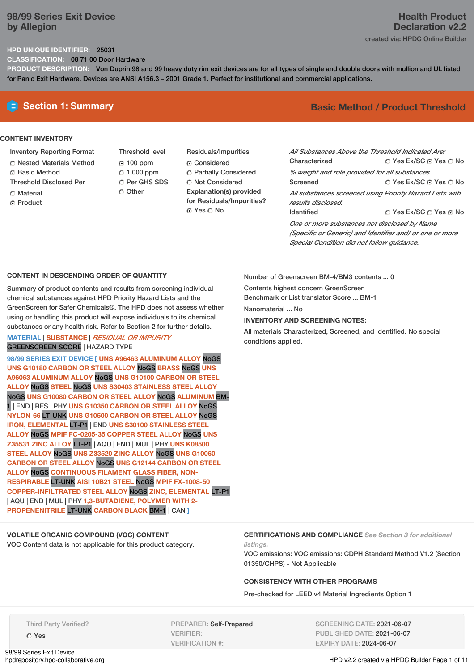### **98/99 Series Exit Device by Allegion**

### **Health Product Declaration v2.2** created via: HPDC Online Builder

### **HPD UNIQUE IDENTIFIER:** 25031

**CLASSIFICATION:** 08 71 00 Door Hardware

**PRODUCT DESCRIPTION:** Von Duprin 98 and 99 heavy duty rim exit devices are for all types of single and double doors with mullion and UL listed for Panic Exit Hardware. Devices are ANSI A156.3 – 2001 Grade 1. Perfect for institutional and commercial applications.

### **CONTENT INVENTORY**

- Inventory Reporting Format
- Nested Materials Method
- ⊙ Basic Method
- Threshold Disclosed Per
- C Material
- **C** Product

Threshold level 100 ppm  $\degree$  1,000 ppm C Per GHS SDS

Other

Residuals/Impurities Considered Partially Considered C Not Considered **Explanation(s) provided for Residuals/Impurities?** © Yes ∩ No

# **E** Section 1: Summary **Basic Method /** Product Threshold

| All Substances Above the Threshold Indicated Are:        |                        |
|----------------------------------------------------------|------------------------|
| Characterized                                            | ◯ Yes Ex/SC ⊙ Yes ◯ No |
| % weight and role provided for all substances.           |                        |
| Screened                                                 | ∩ Yes Ex/SC ∩ Yes ∩ No |
| All substances screened using Priority Hazard Lists with |                        |
| results disclosed.                                       |                        |
| <b>Identified</b>                                        | ○ Yes Ex/SC ○ Yes ○ No |
| One or more substances not disclosed by Name             |                        |
| (Specific or Generic) and Identifier and/ or one or more |                        |
| Special Condition did not follow quidance.               |                        |

### **CONTENT IN DESCENDING ORDER OF QUANTITY**

Summary of product contents and results from screening individual chemical substances against HPD Priority Hazard Lists and the GreenScreen for Safer Chemicals®. The HPD does not assess whether using or handling this product will expose individuals to its chemical substances or any health risk. Refer to Section 2 for further details.

### **MATERIAL** | **SUBSTANCE** | *RESIDUAL OR IMPURITY* GREENSCREEN SCORE | HAZARD TYPE

**98/99 SERIES EXIT DEVICE [ UNS A96463 ALUMINUM ALLOY** NoGS **UNS G10180 CARBON OR STEEL ALLOY** NoGS **BRASS** NoGS **UNS A96063 ALUMINUM ALLOY** NoGS **UNS G10100 CARBON OR STEEL ALLOY** NoGS **STEEL** NoGS **UNS S30403 STAINLESS STEEL ALLOY** NoGS **UNS G10080 CARBON OR STEEL ALLOY** NoGS **ALUMINUM** BM-1 | END | RES | PHY **UNS G10350 CARBON OR STEEL ALLOY** NoGS **NYLON-66** LT-UNK **UNS G10500 CARBON OR STEEL ALLOY** NoGS **IRON, ELEMENTAL** LT-P1 | END **UNS S30100 STAINLESS STEEL ALLOY** NoGS **MPIF FC-0205-35 COPPER STEEL ALLOY** NoGS **UNS Z35531 ZINC ALLOY** LT-P1 | AQU | END | MUL | PHY **UNS K08500 STEEL ALLOY** NoGS **UNS Z33520 ZINC ALLOY** NoGS **UNS G10060 CARBON OR STEEL ALLOY** NoGS **UNS G12144 CARBON OR STEEL ALLOY** NoGS **CONTINUOUS FILAMENT GLASS FIBER, NON-RESPIRABLE** LT-UNK **AISI 10B21 STEEL** NoGS **MPIF FX-1008-50 COPPER-INFILTRATED STEEL ALLOY** NoGS **ZINC, ELEMENTAL** LT-P1 | AQU | END | MUL | PHY **1,3-BUTADIENE, POLYMER WITH 2- PROPENENITRILE** LT-UNK **CARBON BLACK** BM-1 | CAN **]**

**VOLATILE ORGANIC COMPOUND (VOC) CONTENT**

VOC Content data is not applicable for this product category.

Number of Greenscreen BM-4/BM3 contents ... 0

Contents highest concern GreenScreen

Benchmark or List translator Score ... BM-1

Nanomaterial ... No

**INVENTORY AND SCREENING NOTES:**

All materials Characterized, Screened, and Identified. No special conditions applied.

**CERTIFICATIONS AND COMPLIANCE** *See Section 3 for additional listings.*

VOC emissions: VOC emissions: CDPH Standard Method V1.2 (Section 01350/CHPS) - Not Applicable

### **CONSISTENCY WITH OTHER PROGRAMS**

Pre-checked for LEED v4 Material Ingredients Option 1

Third Party Verified?

Yes

98/99 Series Exit Device<br>hpdrepository.hpd-collaborative.org

PREPARER: Self-Prepared VERIFIER: VERIFICATION #:

SCREENING DATE: 2021-06-07 PUBLISHED DATE: 2021-06-07 EXPIRY DATE: 2024-06-07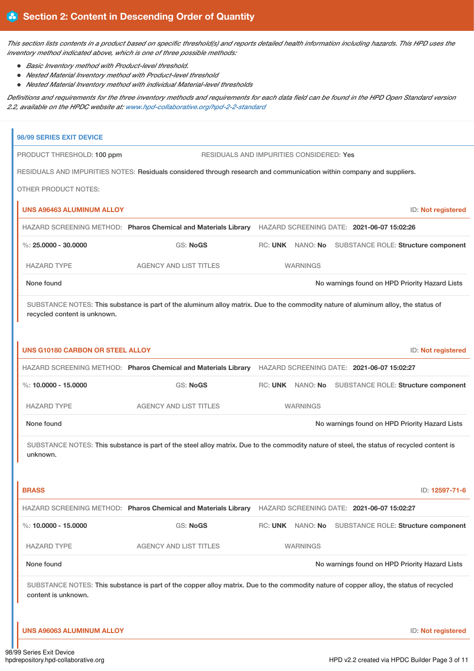This section lists contents in a product based on specific threshold(s) and reports detailed health information including hazards. This HPD uses the *inventory method indicated above, which is one of three possible methods:*

- *Basic Inventory method with Product-level threshold.*
- *Nested Material Inventory method with Product-level threshold*
- *Nested Material Inventory method with individual Material-level thresholds*

Definitions and requirements for the three inventory methods and requirements for each data field can be found in the HPD Open Standard version *2.2, available on the HPDC website at: [www.hpd-collaborative.org/hpd-2-2-standard](https://www.hpd-collaborative.org/hpd-2-2-standard)*

| 98/99 SERIES EXIT DEVICE                |                                                                                                                                            |                                          |                                                      |
|-----------------------------------------|--------------------------------------------------------------------------------------------------------------------------------------------|------------------------------------------|------------------------------------------------------|
| PRODUCT THRESHOLD: 100 ppm              |                                                                                                                                            | RESIDUALS AND IMPURITIES CONSIDERED: Yes |                                                      |
|                                         | RESIDUALS AND IMPURITIES NOTES: Residuals considered through research and communication within company and suppliers.                      |                                          |                                                      |
| <b>OTHER PRODUCT NOTES:</b>             |                                                                                                                                            |                                          |                                                      |
| <b>UNS A96463 ALUMINUM ALLOY</b>        |                                                                                                                                            |                                          | ID: Not registered                                   |
|                                         | HAZARD SCREENING METHOD: Pharos Chemical and Materials Library HAZARD SCREENING DATE: 2021-06-07 15:02:26                                  |                                          |                                                      |
| %: $25.0000 - 30.0000$                  | <b>GS: NoGS</b>                                                                                                                            |                                          | RC: UNK NANO: No SUBSTANCE ROLE: Structure component |
| <b>HAZARD TYPE</b>                      | <b>AGENCY AND LIST TITLES</b>                                                                                                              | <b>WARNINGS</b>                          |                                                      |
| None found                              |                                                                                                                                            |                                          | No warnings found on HPD Priority Hazard Lists       |
| recycled content is unknown.            | SUBSTANCE NOTES: This substance is part of the aluminum alloy matrix. Due to the commodity nature of aluminum alloy, the status of         |                                          |                                                      |
| <b>UNS G10180 CARBON OR STEEL ALLOY</b> |                                                                                                                                            |                                          | ID: Not registered                                   |
|                                         | HAZARD SCREENING METHOD: Pharos Chemical and Materials Library HAZARD SCREENING DATE: 2021-06-07 15:02:27                                  |                                          |                                                      |
| %: 10.0000 - 15.0000                    | <b>GS: NoGS</b>                                                                                                                            |                                          | RC: UNK NANO: No SUBSTANCE ROLE: Structure component |
| <b>HAZARD TYPE</b>                      | <b>AGENCY AND LIST TITLES</b>                                                                                                              | <b>WARNINGS</b>                          |                                                      |
| None found                              |                                                                                                                                            |                                          | No warnings found on HPD Priority Hazard Lists       |
| unknown.<br><b>BRASS</b>                | SUBSTANCE NOTES: This substance is part of the steel alloy matrix. Due to the commodity nature of steel, the status of recycled content is |                                          | ID: 12597-71-6                                       |
|                                         | HAZARD SCREENING METHOD: Pharos Chemical and Materials Library                                                                             |                                          | HAZARD SCREENING DATE: 2021-06-07 15:02:27           |
| %: $10.0000 - 15.0000$                  | GS: NoGS                                                                                                                                   | <b>RC: UNK</b><br>NANO: No               | SUBSTANCE ROLE: Structure component                  |
|                                         |                                                                                                                                            |                                          |                                                      |
| <b>HAZARD TYPE</b>                      | <b>AGENCY AND LIST TITLES</b>                                                                                                              | <b>WARNINGS</b>                          |                                                      |
| None found                              |                                                                                                                                            |                                          | No warnings found on HPD Priority Hazard Lists       |
| content is unknown.                     | SUBSTANCE NOTES: This substance is part of the copper alloy matrix. Due to the commodity nature of copper alloy, the status of recycled    |                                          |                                                      |
| <b>UNS A96063 ALUMINUM ALLOY</b>        |                                                                                                                                            |                                          | ID: Not registered                                   |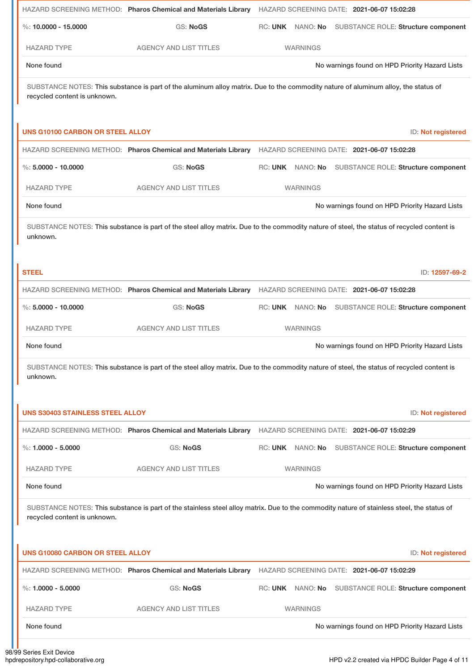|                                         | HAZARD SCREENING METHOD: Pharos Chemical and Materials Library HAZARD SCREENING DATE: 2021-06-07 15:02:28                                  |                 |                                                      |
|-----------------------------------------|--------------------------------------------------------------------------------------------------------------------------------------------|-----------------|------------------------------------------------------|
| %: $10.0000 - 15.0000$                  | <b>GS: NoGS</b>                                                                                                                            |                 | RC: UNK NANO: No SUBSTANCE ROLE: Structure component |
| <b>HAZARD TYPE</b>                      | <b>AGENCY AND LIST TITLES</b>                                                                                                              | <b>WARNINGS</b> |                                                      |
| None found                              |                                                                                                                                            |                 | No warnings found on HPD Priority Hazard Lists       |
| recycled content is unknown.            | SUBSTANCE NOTES: This substance is part of the aluminum alloy matrix. Due to the commodity nature of aluminum alloy, the status of         |                 |                                                      |
| <b>UNS G10100 CARBON OR STEEL ALLOY</b> |                                                                                                                                            |                 | ID: Not registered                                   |
|                                         | HAZARD SCREENING METHOD: Pharos Chemical and Materials Library                                                                             |                 | HAZARD SCREENING DATE: 2021-06-07 15:02:28           |
| $\%$ : 5,0000 - 10,0000                 | <b>GS: NoGS</b>                                                                                                                            |                 | RC: UNK NANO: No SUBSTANCE ROLE: Structure component |
| <b>HAZARD TYPE</b>                      | <b>AGENCY AND LIST TITLES</b>                                                                                                              | <b>WARNINGS</b> |                                                      |
| None found                              |                                                                                                                                            |                 | No warnings found on HPD Priority Hazard Lists       |
| unknown.                                | SUBSTANCE NOTES: This substance is part of the steel alloy matrix. Due to the commodity nature of steel, the status of recycled content is |                 |                                                      |
| <b>STEEL</b>                            |                                                                                                                                            |                 | ID: 12597-69-2                                       |
|                                         | HAZARD SCREENING METHOD: Pharos Chemical and Materials Library HAZARD SCREENING DATE: 2021-06-07 15:02:28                                  |                 |                                                      |
| $\%$ : 5,0000 - 10,0000                 | <b>GS: NoGS</b>                                                                                                                            |                 | RC: UNK NANO: No SUBSTANCE ROLE: Structure component |
| <b>HAZARD TYPE</b>                      | <b>AGENCY AND LIST TITLES</b>                                                                                                              | <b>WARNINGS</b> |                                                      |
| None found                              |                                                                                                                                            |                 | No warnings found on HPD Priority Hazard Lists       |
| unknown.                                | SUBSTANCE NOTES: This substance is part of the steel alloy matrix. Due to the commodity nature of steel, the status of recycled content is |                 |                                                      |
| <b>UNS S30403 STAINLESS STEEL ALLOY</b> |                                                                                                                                            |                 | ID: Not registered                                   |
|                                         | HAZARD SCREENING METHOD: Pharos Chemical and Materials Library HAZARD SCREENING DATE: 2021-06-07 15:02:29                                  |                 |                                                      |
| %: $1.0000 - 5.0000$                    | <b>GS: NoGS</b>                                                                                                                            |                 | RC: UNK NANO: No SUBSTANCE ROLE: Structure component |
| <b>HAZARD TYPE</b>                      | <b>AGENCY AND LIST TITLES</b>                                                                                                              | <b>WARNINGS</b> |                                                      |
| None found                              |                                                                                                                                            |                 | No warnings found on HPD Priority Hazard Lists       |
| recycled content is unknown.            | SUBSTANCE NOTES: This substance is part of the stainless steel alloy matrix. Due to the commodity nature of stainless steel, the status of |                 |                                                      |
| <b>UNS G10080 CARBON OR STEEL ALLOY</b> |                                                                                                                                            |                 | ID: Not registered                                   |
|                                         | HAZARD SCREENING METHOD: Pharos Chemical and Materials Library                                                                             |                 | HAZARD SCREENING DATE: 2021-06-07 15:02:29           |
| %: $1.0000 - 5.0000$                    | <b>GS: NoGS</b>                                                                                                                            |                 | RC: UNK NANO: No SUBSTANCE ROLE: Structure component |
| <b>HAZARD TYPE</b>                      | <b>AGENCY AND LIST TITLES</b>                                                                                                              | <b>WARNINGS</b> |                                                      |
| None found                              |                                                                                                                                            |                 | No warnings found on HPD Priority Hazard Lists       |
|                                         |                                                                                                                                            |                 |                                                      |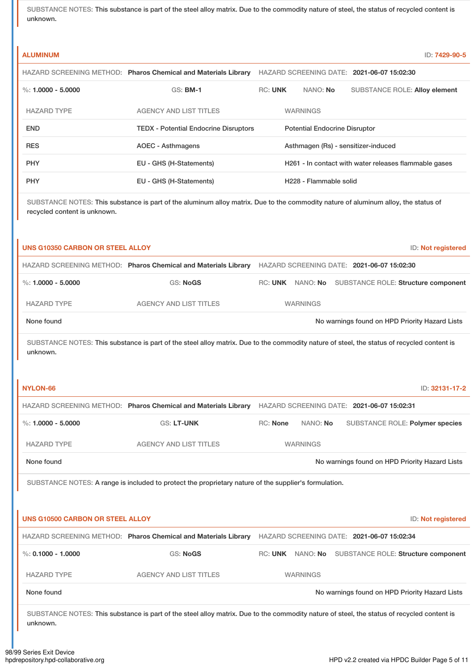SUBSTANCE NOTES: This substance is part of the steel alloy matrix. Due to the commodity nature of steel, the status of recycled content is unknown.

| <b>ALUMINUM</b>                         |                                                                                                                                            |                |                                      | ID: 7429-90-5                                         |  |
|-----------------------------------------|--------------------------------------------------------------------------------------------------------------------------------------------|----------------|--------------------------------------|-------------------------------------------------------|--|
|                                         | HAZARD SCREENING METHOD: Pharos Chemical and Materials Library                                                                             |                |                                      | HAZARD SCREENING DATE: 2021-06-07 15:02:30            |  |
| $\%: 1.0000 - 5.0000$                   | <b>GS: BM-1</b>                                                                                                                            | <b>RC: UNK</b> | NANO: No                             | <b>SUBSTANCE ROLE: Alloy element</b>                  |  |
| <b>HAZARD TYPE</b>                      | <b>AGENCY AND LIST TITLES</b>                                                                                                              |                | <b>WARNINGS</b>                      |                                                       |  |
| <b>END</b>                              | <b>TEDX - Potential Endocrine Disruptors</b>                                                                                               |                | <b>Potential Endocrine Disruptor</b> |                                                       |  |
| <b>RES</b>                              | <b>AOEC - Asthmagens</b>                                                                                                                   |                |                                      | Asthmagen (Rs) - sensitizer-induced                   |  |
| <b>PHY</b>                              | EU - GHS (H-Statements)                                                                                                                    |                |                                      | H261 - In contact with water releases flammable gases |  |
| <b>PHY</b>                              | EU - GHS (H-Statements)                                                                                                                    |                | H228 - Flammable solid               |                                                       |  |
| recycled content is unknown.            | SUBSTANCE NOTES: This substance is part of the aluminum alloy matrix. Due to the commodity nature of aluminum alloy, the status of         |                |                                      |                                                       |  |
| <b>UNS G10350 CARBON OR STEEL ALLOY</b> |                                                                                                                                            |                |                                      | ID: Not registered                                    |  |
|                                         | HAZARD SCREENING METHOD: Pharos Chemical and Materials Library HAZARD SCREENING DATE: 2021-06-07 15:02:30                                  |                |                                      |                                                       |  |
| $\%: 1.0000 - 5.0000$                   | <b>GS: NoGS</b>                                                                                                                            |                |                                      | RC: UNK NANO: No SUBSTANCE ROLE: Structure component  |  |
| <b>HAZARD TYPE</b>                      | <b>AGENCY AND LIST TITLES</b>                                                                                                              |                | <b>WARNINGS</b>                      |                                                       |  |
| None found                              |                                                                                                                                            |                |                                      | No warnings found on HPD Priority Hazard Lists        |  |
|                                         | SUBSTANCE NOTES: This substance is part of the steel alloy matrix. Due to the commodity nature of steel, the status of recycled content is |                |                                      |                                                       |  |

unknown.

| NYLON-66                                |                                                                                                       |                 |                                                                                                    |  |  | ID: 32131-17-2                                 |  |
|-----------------------------------------|-------------------------------------------------------------------------------------------------------|-----------------|----------------------------------------------------------------------------------------------------|--|--|------------------------------------------------|--|
|                                         | HAZARD SCREENING METHOD: Pharos Chemical and Materials Library                                        |                 | HAZARD SCREENING DATE: 2021-06-07 15:02:31                                                         |  |  |                                                |  |
| %: $1.0000 - 5.0000$                    | <b>GS: LT-UNK</b>                                                                                     | <b>RC: None</b> | NANO: No                                                                                           |  |  | SUBSTANCE ROLE: Polymer species                |  |
| <b>HAZARD TYPE</b>                      | <b>AGENCY AND LIST TITLES</b>                                                                         |                 | <b>WARNINGS</b>                                                                                    |  |  |                                                |  |
| None found                              |                                                                                                       |                 |                                                                                                    |  |  | No warnings found on HPD Priority Hazard Lists |  |
|                                         | SUBSTANCE NOTES: A range is included to protect the proprietary nature of the supplier's formulation. |                 |                                                                                                    |  |  |                                                |  |
| <b>UNS G10500 CARBON OR STEEL ALLOY</b> |                                                                                                       |                 |                                                                                                    |  |  | ID: Not registered                             |  |
| $\%$ : 0.1000 - 1.0000                  | HAZARD SCREENING METHOD: Pharos Chemical and Materials Library<br><b>GS: NoGS</b>                     |                 | HAZARD SCREENING DATE: 2021-06-07 15:02:34<br>RC: UNK NANO: No SUBSTANCE ROLE: Structure component |  |  |                                                |  |
| <b>HAZARD TYPE</b>                      | <b>AGENCY AND LIST TITLES</b>                                                                         |                 | <b>WARNINGS</b>                                                                                    |  |  |                                                |  |

98/99 Series Exit Device<br>hpdrepository.hpd-collaborative.org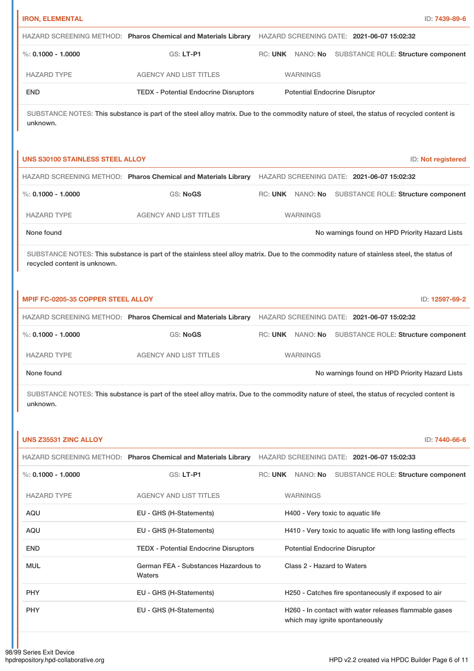| <b>IRON, ELEMENTAL</b>                  |                                                                                                | ID: 7439-89-6                                                                                                                                               |
|-----------------------------------------|------------------------------------------------------------------------------------------------|-------------------------------------------------------------------------------------------------------------------------------------------------------------|
|                                         |                                                                                                | HAZARD SCREENING METHOD: Pharos Chemical and Materials Library HAZARD SCREENING DATE: 2021-06-07 15:02:32                                                   |
| $\%$ : 0.1000 - 1.0000                  | GS: LT-P1                                                                                      | RC: UNK NANO: No<br><b>SUBSTANCE ROLE: Structure component</b>                                                                                              |
| <b>HAZARD TYPE</b>                      | <b>AGENCY AND LIST TITLES</b>                                                                  | <b>WARNINGS</b>                                                                                                                                             |
| <b>END</b>                              | <b>TEDX - Potential Endocrine Disruptors</b>                                                   | <b>Potential Endocrine Disruptor</b>                                                                                                                        |
| unknown.                                |                                                                                                | SUBSTANCE NOTES: This substance is part of the steel alloy matrix. Due to the commodity nature of steel, the status of recycled content is                  |
| <b>UNS S30100 STAINLESS STEEL ALLOY</b> |                                                                                                | ID: Not registered                                                                                                                                          |
|                                         | HAZARD SCREENING METHOD: Pharos Chemical and Materials Library                                 | HAZARD SCREENING DATE: 2021-06-07 15:02:32                                                                                                                  |
| $\%$ : 0.1000 - 1.0000                  | <b>GS: NoGS</b>                                                                                | RC: UNK NANO: No<br>SUBSTANCE ROLE: Structure component                                                                                                     |
| <b>HAZARD TYPE</b>                      | <b>AGENCY AND LIST TITLES</b>                                                                  | <b>WARNINGS</b>                                                                                                                                             |
| None found                              |                                                                                                | No warnings found on HPD Priority Hazard Lists                                                                                                              |
| recycled content is unknown.            |                                                                                                | SUBSTANCE NOTES: This substance is part of the stainless steel alloy matrix. Due to the commodity nature of stainless steel, the status of                  |
| MPIF FC-0205-35 COPPER STEEL ALLOY      |                                                                                                | ID: 12597-69-2                                                                                                                                              |
|                                         |                                                                                                | HAZARD SCREENING METHOD: Pharos Chemical and Materials Library HAZARD SCREENING DATE: 2021-06-07 15:02:32                                                   |
| $\%$ : 0.1000 - 1.0000                  | <b>GS: NoGS</b>                                                                                | RC: UNK NANO: No<br>SUBSTANCE ROLE: Structure component                                                                                                     |
| <b>HAZARD TYPE</b>                      | AGENCY AND LIST TITLES                                                                         | <b>WARNINGS</b>                                                                                                                                             |
| None found                              |                                                                                                | No warnings found on HPD Priority Hazard Lists                                                                                                              |
| unknown.<br>UNS Z35531 ZINC ALLOY       |                                                                                                | SUBSTANCE NOTES: This substance is part of the steel alloy matrix. Due to the commodity nature of steel, the status of recycled content is<br>ID: 7440-66-6 |
|                                         | HAZARD SCREENING METHOD: Pharos Chemical and Materials Library                                 | HAZARD SCREENING DATE: 2021-06-07 15:02:33                                                                                                                  |
| $\%$ : 0.1000 - 1.0000                  | GS: LT-P1                                                                                      | RC: UNK NANO: No SUBSTANCE ROLE: Structure component                                                                                                        |
|                                         |                                                                                                |                                                                                                                                                             |
| <b>HAZARD TYPE</b>                      | <b>AGENCY AND LIST TITLES</b>                                                                  | <b>WARNINGS</b>                                                                                                                                             |
| AQU                                     | EU - GHS (H-Statements)                                                                        | H400 - Very toxic to aquatic life                                                                                                                           |
| AQU                                     | EU - GHS (H-Statements)                                                                        | H410 - Very toxic to aquatic life with long lasting effects                                                                                                 |
| <b>END</b><br><b>MUL</b>                | <b>TEDX - Potential Endocrine Disruptors</b><br>German FEA - Substances Hazardous to<br>Waters | <b>Potential Endocrine Disruptor</b><br>Class 2 - Hazard to Waters                                                                                          |
| <b>PHY</b>                              | EU - GHS (H-Statements)                                                                        | H250 - Catches fire spontaneously if exposed to air                                                                                                         |
| <b>PHY</b>                              | EU - GHS (H-Statements)                                                                        | H260 - In contact with water releases flammable gases<br>which may ignite spontaneously                                                                     |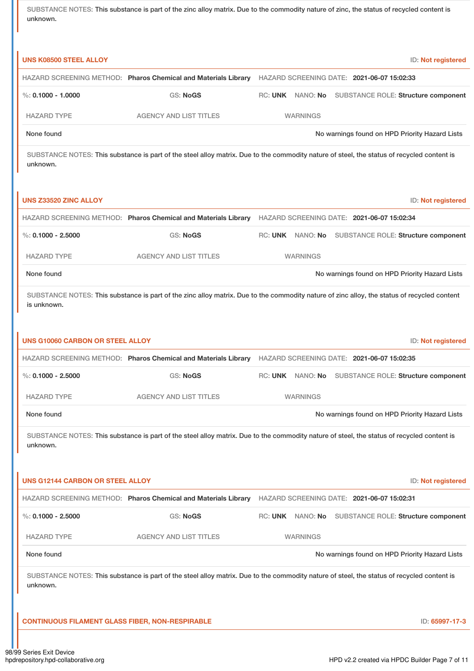SUBSTANCE NOTES: This substance is part of the zinc alloy matrix. Due to the commodity nature of zinc, the status of recycled content is unknown.

| <b>UNS K08500 STEEL ALLOY</b> |                                                                                                                                            |         |                 | ID: Not registered                             |
|-------------------------------|--------------------------------------------------------------------------------------------------------------------------------------------|---------|-----------------|------------------------------------------------|
|                               | HAZARD SCREENING METHOD: Pharos Chemical and Materials Library                                                                             |         |                 | HAZARD SCREENING DATE: 2021-06-07 15:02:33     |
| %: $0.1000 - 1.0000$          | GS: NoGS                                                                                                                                   | RC: UNK |                 | NANO: No SUBSTANCE ROLE: Structure component   |
| <b>HAZARD TYPE</b>            | <b>AGENCY AND LIST TITLES</b>                                                                                                              |         | <b>WARNINGS</b> |                                                |
| None found                    |                                                                                                                                            |         |                 | No warnings found on HPD Priority Hazard Lists |
| unknown.                      | SUBSTANCE NOTES: This substance is part of the steel alloy matrix. Due to the commodity nature of steel, the status of recycled content is |         |                 |                                                |

|                    | HAZARD SCREENING METHOD: Pharos Chemical and Materials Library |                 | HAZARD SCREENING DATE: 2021-06-07 15:02:34           |
|--------------------|----------------------------------------------------------------|-----------------|------------------------------------------------------|
| %: 0.1000 - 2.5000 | <b>GS: NoGS</b>                                                |                 | RC: UNK NANO: No SUBSTANCE ROLE: Structure component |
| <b>HAZARD TYPE</b> | <b>AGENCY AND LIST TITLES</b>                                  | <b>WARNINGS</b> |                                                      |
| None found         |                                                                |                 | No warnings found on HPD Priority Hazard Lists       |

**UNS Z33520 ZINC ALLOY** ID: **Not registered**

SUBSTANCE NOTES: This substance is part of the zinc alloy matrix. Due to the commodity nature of zinc alloy, the status of recycled content is unknown.

| <b>UNS G10060 CARBON OR STEEL ALLOY</b> |                                                                                                                                            |                 |                                            | ID: Not registered                                   |
|-----------------------------------------|--------------------------------------------------------------------------------------------------------------------------------------------|-----------------|--------------------------------------------|------------------------------------------------------|
|                                         | HAZARD SCREENING METHOD: Pharos Chemical and Materials Library                                                                             |                 | HAZARD SCREENING DATE: 2021-06-07 15:02:35 |                                                      |
| $\%$ : 0.1000 - 2.5000                  | GS: NoGS                                                                                                                                   |                 |                                            | RC: UNK NANO: No SUBSTANCE ROLE: Structure component |
| <b>HAZARD TYPE</b>                      | <b>AGENCY AND LIST TITLES</b>                                                                                                              | <b>WARNINGS</b> |                                            |                                                      |
| None found                              |                                                                                                                                            |                 |                                            | No warnings found on HPD Priority Hazard Lists       |
| unknown.                                | SUBSTANCE NOTES: This substance is part of the steel alloy matrix. Due to the commodity nature of steel, the status of recycled content is |                 |                                            |                                                      |
|                                         |                                                                                                                                            |                 |                                            |                                                      |
|                                         |                                                                                                                                            |                 |                                            |                                                      |
| <b>UNS G12144 CARBON OR STEEL ALLOY</b> |                                                                                                                                            |                 |                                            | ID: Not registered                                   |
|                                         | HAZARD SCREENING METHOD: Pharos Chemical and Materials Library HAZARD SCREENING DATE: 2021-06-07 15:02:31                                  |                 |                                            |                                                      |
| %: $0.1000 - 2.5000$                    | <b>GS: NoGS</b>                                                                                                                            |                 |                                            | RC: UNK NANO: No SUBSTANCE ROLE: Structure component |
| <b>HAZARD TYPE</b>                      | <b>AGENCY AND LIST TITLES</b>                                                                                                              | <b>WARNINGS</b> |                                            |                                                      |
| None found                              |                                                                                                                                            |                 |                                            | No warnings found on HPD Priority Hazard Lists       |

**CONTINUOUS FILAMENT GLASS FIBER, NON-RESPIRABLE** ID: **65997-17-3**

 $\mathbf{r}$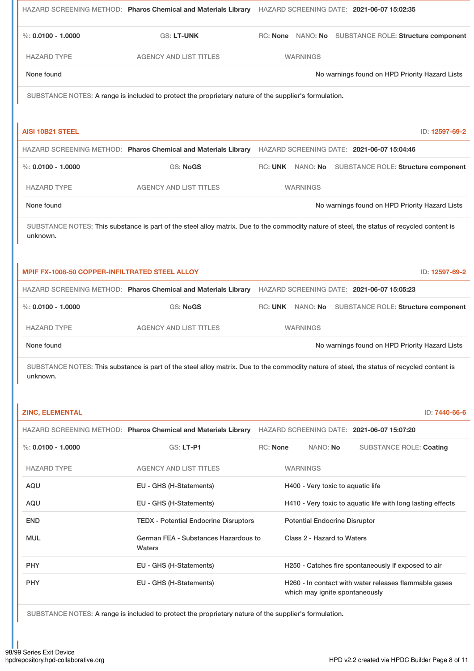|                                                |                                                                                                       | HAZARD SCREENING METHOD: Pharos Chemical and Materials Library HAZARD SCREENING DATE: 2021-06-07 15:02:35                                  |
|------------------------------------------------|-------------------------------------------------------------------------------------------------------|--------------------------------------------------------------------------------------------------------------------------------------------|
| %: $0.0100 - 1.0000$                           | GS: LT-UNK                                                                                            | RC: None NANO: No SUBSTANCE ROLE: Structure component                                                                                      |
| <b>HAZARD TYPE</b>                             | <b>AGENCY AND LIST TITLES</b>                                                                         | <b>WARNINGS</b>                                                                                                                            |
| None found                                     |                                                                                                       | No warnings found on HPD Priority Hazard Lists                                                                                             |
|                                                | SUBSTANCE NOTES: A range is included to protect the proprietary nature of the supplier's formulation. |                                                                                                                                            |
|                                                |                                                                                                       |                                                                                                                                            |
| <b>AISI 10B21 STEEL</b>                        |                                                                                                       | ID: 12597-69-2                                                                                                                             |
|                                                |                                                                                                       | HAZARD SCREENING METHOD: Pharos Chemical and Materials Library HAZARD SCREENING DATE: 2021-06-07 15:04:46                                  |
| %: $0.0100 - 1.0000$                           | <b>GS: NoGS</b>                                                                                       | RC: UNK NANO: No SUBSTANCE ROLE: Structure component                                                                                       |
| <b>HAZARD TYPE</b>                             | <b>AGENCY AND LIST TITLES</b>                                                                         | <b>WARNINGS</b>                                                                                                                            |
| None found                                     |                                                                                                       | No warnings found on HPD Priority Hazard Lists                                                                                             |
| unknown.                                       |                                                                                                       | SUBSTANCE NOTES: This substance is part of the steel alloy matrix. Due to the commodity nature of steel, the status of recycled content is |
| MPIF FX-1008-50 COPPER-INFILTRATED STEEL ALLOY |                                                                                                       | ID: 12597-69-2                                                                                                                             |
|                                                |                                                                                                       | HAZARD SCREENING METHOD: Pharos Chemical and Materials Library HAZARD SCREENING DATE: 2021-06-07 15:05:23                                  |
| %: $0.0100 - 1.0000$                           | <b>GS: NoGS</b>                                                                                       | RC: UNK NANO: No SUBSTANCE ROLE: Structure component                                                                                       |
| <b>HAZARD TYPE</b>                             | <b>AGENCY AND LIST TITLES</b>                                                                         | <b>WARNINGS</b>                                                                                                                            |
| None found                                     |                                                                                                       | No warnings found on HPD Priority Hazard Lists                                                                                             |
| unknown.                                       |                                                                                                       | SUBSTANCE NOTES: This substance is part of the steel alloy matrix. Due to the commodity nature of steel, the status of recycled content is |
| <b>ZINC, ELEMENTAL</b>                         |                                                                                                       | ID: 7440-66-6                                                                                                                              |
|                                                |                                                                                                       | HAZARD SCREENING METHOD: Pharos Chemical and Materials Library HAZARD SCREENING DATE: 2021-06-07 15:07:20                                  |
| $\%$ : 0.0100 - 1.0000                         | GS: LT-P1                                                                                             | RC: None<br>NANO: No<br><b>SUBSTANCE ROLE: Coating</b>                                                                                     |
| <b>HAZARD TYPE</b>                             | <b>AGENCY AND LIST TITLES</b>                                                                         | <b>WARNINGS</b>                                                                                                                            |
| AQU                                            | EU - GHS (H-Statements)                                                                               | H400 - Very toxic to aquatic life                                                                                                          |
| AQU                                            | EU - GHS (H-Statements)                                                                               | H410 - Very toxic to aquatic life with long lasting effects                                                                                |
| END                                            | <b>TEDX - Potential Endocrine Disruptors</b>                                                          | <b>Potential Endocrine Disruptor</b>                                                                                                       |
| <b>MUL</b>                                     | German FEA - Substances Hazardous to<br>Waters                                                        | Class 2 - Hazard to Waters                                                                                                                 |
| <b>PHY</b>                                     | EU - GHS (H-Statements)                                                                               | H250 - Catches fire spontaneously if exposed to air                                                                                        |
| PHY                                            | EU - GHS (H-Statements)                                                                               | H260 - In contact with water releases flammable gases<br>which may ignite spontaneously                                                    |

SUBSTANCE NOTES: A range is included to protect the proprietary nature of the supplier's formulation.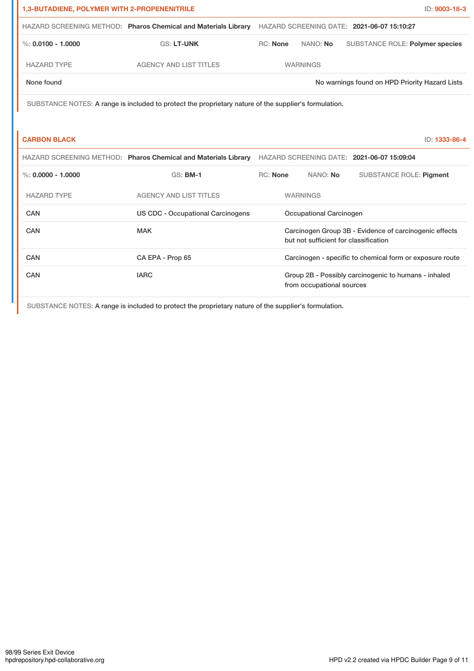| 1,3-BUTADIENE, POLYMER WITH 2-PROPENENITRILE |                                                                                                       |                                                                                   |                                       |                                                          | ID: 9003-18-3 |
|----------------------------------------------|-------------------------------------------------------------------------------------------------------|-----------------------------------------------------------------------------------|---------------------------------------|----------------------------------------------------------|---------------|
|                                              | HAZARD SCREENING METHOD: Pharos Chemical and Materials Library                                        |                                                                                   |                                       | HAZARD SCREENING DATE: 2021-06-07 15:10:27               |               |
| $\%$ : 0.0100 - 1.0000                       | <b>GS: LT-UNK</b>                                                                                     | <b>RC: None</b>                                                                   | NANO: No                              | <b>SUBSTANCE ROLE: Polymer species</b>                   |               |
| <b>HAZARD TYPE</b>                           | <b>AGENCY AND LIST TITLES</b>                                                                         |                                                                                   | <b>WARNINGS</b>                       |                                                          |               |
| None found                                   |                                                                                                       |                                                                                   |                                       | No warnings found on HPD Priority Hazard Lists           |               |
|                                              | SUBSTANCE NOTES: A range is included to protect the proprietary nature of the supplier's formulation. |                                                                                   |                                       |                                                          |               |
|                                              |                                                                                                       |                                                                                   |                                       |                                                          |               |
| <b>CARBON BLACK</b>                          |                                                                                                       |                                                                                   |                                       |                                                          | ID: 1333-86-4 |
|                                              | HAZARD SCREENING METHOD: Pharos Chemical and Materials Library                                        |                                                                                   |                                       | HAZARD SCREENING DATE: 2021-06-07 15:09:04               |               |
| $\%$ : 0.0000 - 1.0000                       | <b>GS: BM-1</b>                                                                                       | <b>RC: None</b>                                                                   | NANO: No                              | <b>SUBSTANCE ROLE: Pigment</b>                           |               |
| <b>HAZARD TYPE</b>                           | <b>AGENCY AND LIST TITLES</b>                                                                         |                                                                                   | <b>WARNINGS</b>                       |                                                          |               |
| CAN                                          | <b>US CDC - Occupational Carcinogens</b>                                                              |                                                                                   | Occupational Carcinogen               |                                                          |               |
| CAN                                          | <b>MAK</b>                                                                                            |                                                                                   | but not sufficient for classification | Carcinogen Group 3B - Evidence of carcinogenic effects   |               |
| CAN                                          | CA EPA - Prop 65                                                                                      |                                                                                   |                                       | Carcinogen - specific to chemical form or exposure route |               |
| CAN                                          | <b>IARC</b>                                                                                           | Group 2B - Possibly carcinogenic to humans - inhaled<br>from occupational sources |                                       |                                                          |               |

SUBSTANCE NOTES: A range is included to protect the proprietary nature of the supplier's formulation.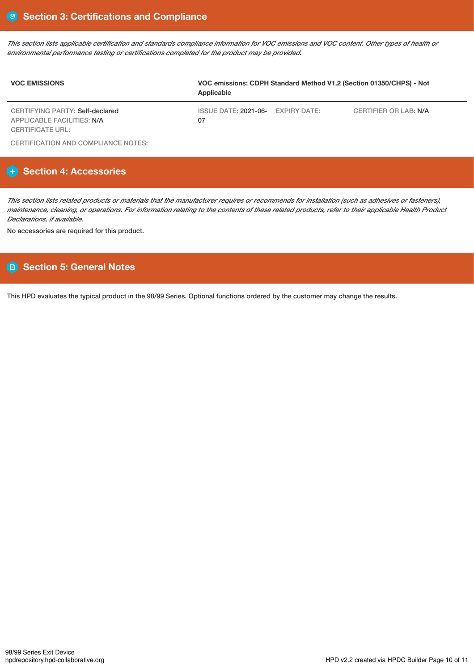This section lists applicable certification and standards compliance information for VOC emissions and VOC content. Other types of health or *environmental performance testing or certifications completed for the product may be provided.*

| <b>VOC EMISSIONS</b>                                          | VOC emissions: CDPH Standard Method V1.2 (Section 01350/CHPS) - Not<br>Applicable |  |                              |  |
|---------------------------------------------------------------|-----------------------------------------------------------------------------------|--|------------------------------|--|
| CERTIFYING PARTY: Self-declared<br>APPLICABLE FACILITIES: N/A | ISSUE DATE: 2021-06- EXPIRY DATE:<br>07                                           |  | <b>CERTIFIER OR LAB: N/A</b> |  |
| CERTIFICATE URL:                                              |                                                                                   |  |                              |  |

CERTIFICATION AND COMPLIANCE NOTES:

# **Section 4: Accessories**

This section lists related products or materials that the manufacturer requires or recommends for installation (such as adhesives or fasteners), maintenance, cleaning, or operations. For information relating to the contents of these related products, refer to their applicable Health Product *Declarations, if available.*

No accessories are required for this product.

## **Section 5: General Notes**

This HPD evaluates the typical product in the 98/99 Series. Optional functions ordered by the customer may change the results.